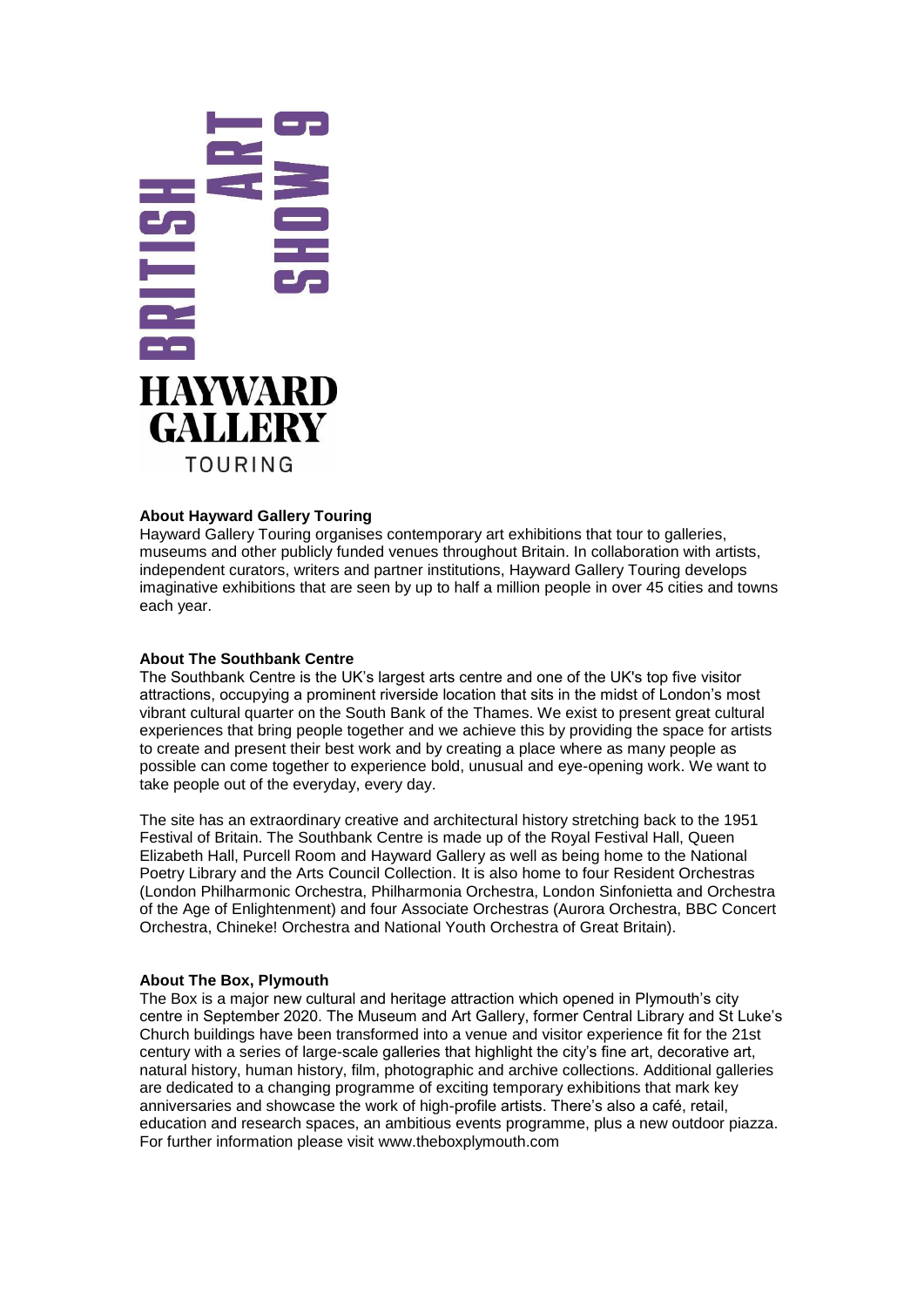

# **About Hayward Gallery Touring**

Hayward Gallery Touring organises contemporary art exhibitions that tour to galleries, museums and other publicly funded venues throughout Britain. In collaboration with artists, independent curators, writers and partner institutions, Hayward Gallery Touring develops imaginative exhibitions that are seen by up to half a million people in over 45 cities and towns each year.

# **About The Southbank Centre**

The Southbank Centre is the UK's largest arts centre and one of the UK's top five visitor attractions, occupying a prominent riverside location that sits in the midst of London's most vibrant cultural quarter on the South Bank of the Thames. We exist to present great cultural experiences that bring people together and we achieve this by providing the space for artists to create and present their best work and by creating a place where as many people as possible can come together to experience bold, unusual and eye-opening work. We want to take people out of the everyday, every day.

The site has an extraordinary creative and architectural history stretching back to the 1951 Festival of Britain. The Southbank Centre is made up of the Royal Festival Hall, Queen Elizabeth Hall, Purcell Room and Hayward Gallery as well as being home to the National Poetry Library and the Arts Council Collection. It is also home to four Resident Orchestras (London Philharmonic Orchestra, Philharmonia Orchestra, London Sinfonietta and Orchestra of the Age of Enlightenment) and four Associate Orchestras (Aurora Orchestra, BBC Concert Orchestra, Chineke! Orchestra and National Youth Orchestra of Great Britain).

### **About The Box, Plymouth**

The Box is a major new cultural and heritage attraction which opened in Plymouth's city centre in September 2020. The Museum and Art Gallery, former Central Library and St Luke's Church buildings have been transformed into a venue and visitor experience fit for the 21st century with a series of large-scale galleries that highlight the city's fine art, decorative art, natural history, human history, film, photographic and archive collections. Additional galleries are dedicated to a changing programme of exciting temporary exhibitions that mark key anniversaries and showcase the work of high-profile artists. There's also a café, retail, education and research spaces, an ambitious events programme, plus a new outdoor piazza. For further information please visit [www.theboxplymouth.com](http://www.theboxplymouth.com/)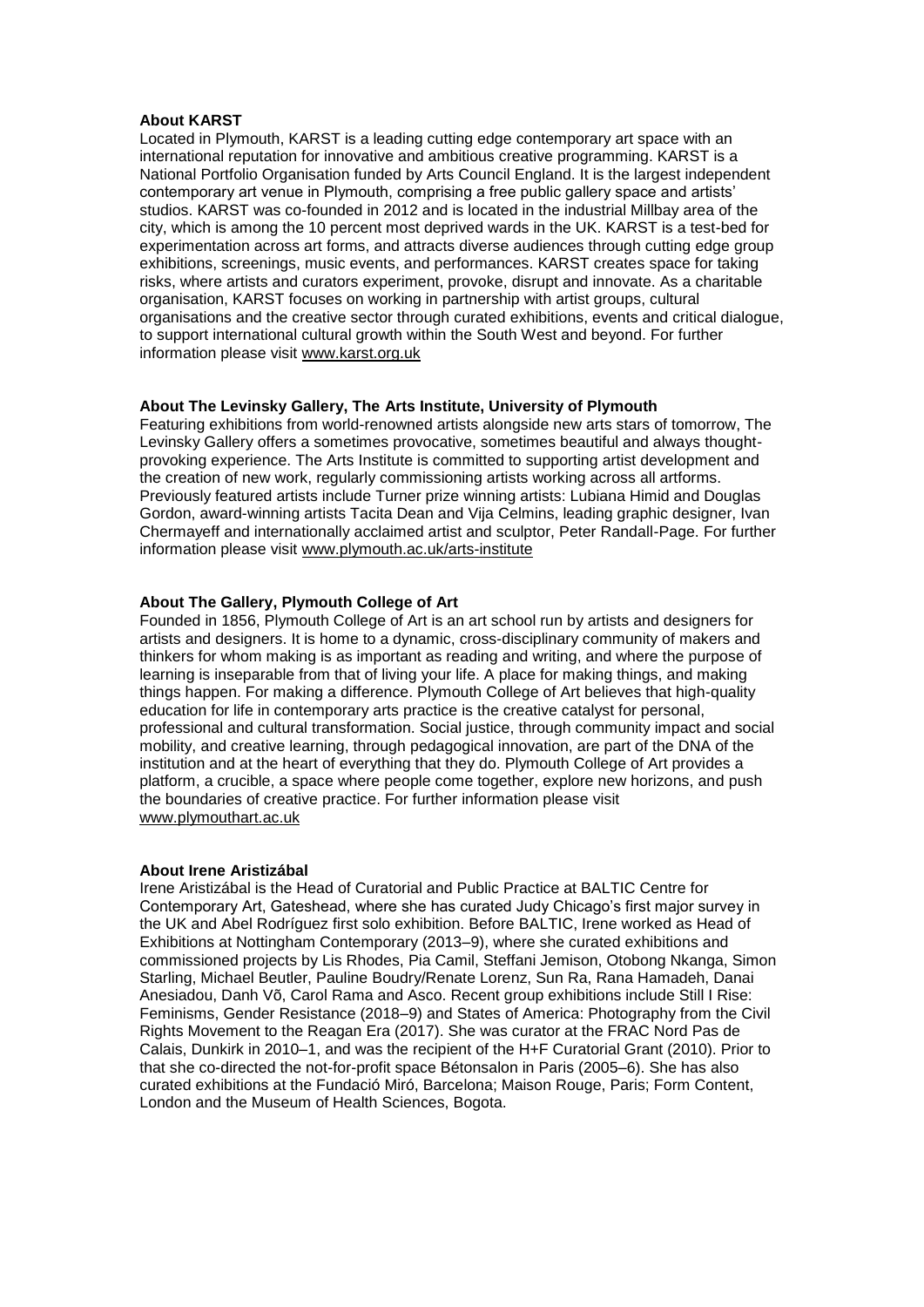#### **About KARST**

Located in Plymouth, KARST is a leading cutting edge contemporary art space with an international reputation for innovative and ambitious creative programming. KARST is a National Portfolio Organisation funded by Arts Council England. It is the largest independent contemporary art venue in Plymouth, comprising a free public gallery space and artists' studios. KARST was co-founded in 2012 and is located in the industrial Millbay area of the city, which is among the 10 percent most deprived wards in the UK. KARST is a test-bed for experimentation across art forms, and attracts diverse audiences through cutting edge group exhibitions, screenings, music events, and performances. KARST creates space for taking risks, where artists and curators experiment, provoke, disrupt and innovate. As a charitable organisation, KARST focuses on working in partnership with artist groups, cultural organisations and the creative sector through curated exhibitions, events and critical dialogue, to support international cultural growth within the South West and beyond. For further information please visit [www.karst.org.uk](http://karst.org.uk/)

## **About The Levinsky Gallery, The Arts Institute, University of Plymouth**

Featuring exhibitions from world-renowned artists alongside new arts stars of tomorrow, The Levinsky Gallery offers a sometimes provocative, sometimes beautiful and always thoughtprovoking experience. The Arts Institute is committed to supporting artist development and the creation of new work, regularly commissioning artists working across all artforms. Previously featured artists include Turner prize winning artists: Lubiana Himid and Douglas Gordon, award-winning artists Tacita Dean and Vija Celmins, leading graphic designer, Ivan Chermayeff and internationally acclaimed artist and sculptor, Peter Randall-Page. For further information please visit [www.plymouth.ac.uk/](https://www.plymouth.ac.uk/students-and-family/arts-institute-public-programme/exhibitions)arts-institute

# **About The Gallery, Plymouth College of Art**

Founded in 1856, Plymouth College of Art is an art school run by artists and designers for artists and designers. It is home to a dynamic, cross-disciplinary community of makers and thinkers for whom making is as important as reading and writing, and where the purpose of learning is inseparable from that of living your life. A place for making things, and making things happen. For making a difference. Plymouth College of Art believes that high-quality education for life in contemporary arts practice is the creative catalyst for personal, professional and cultural transformation. Social justice, through community impact and social mobility, and creative learning, through pedagogical innovation, are part of the DNA of the institution and at the heart of everything that they do. Plymouth College of Art provides a platform, a crucible, a space where people come together, explore new horizons, and push the boundaries of creative practice. For further information please visit [www.plymouthart.ac.uk](http://www.plymouthart.ac.uk/)

#### **About Irene Aristizábal**

Irene Aristizábal is the Head of Curatorial and Public Practice at BALTIC Centre for Contemporary Art, Gateshead, where she has curated Judy Chicago's first major survey in the UK and Abel Rodríguez first solo exhibition. Before BALTIC, Irene worked as Head of Exhibitions at Nottingham Contemporary (2013–9), where she curated exhibitions and commissioned projects by Lis Rhodes, Pia Camil, Steffani Jemison, Otobong Nkanga, Simon Starling, Michael Beutler, Pauline Boudry/Renate Lorenz, Sun Ra, Rana Hamadeh, Danai Anesiadou, Danh Võ, Carol Rama and Asco. Recent group exhibitions include Still I Rise: Feminisms, Gender Resistance (2018–9) and States of America: Photography from the Civil Rights Movement to the Reagan Era (2017). She was curator at the FRAC Nord Pas de Calais, Dunkirk in 2010–1, and was the recipient of the H+F Curatorial Grant (2010). Prior to that she co-directed the not-for-profit space Bétonsalon in Paris (2005–6). She has also curated exhibitions at the Fundació Miró, Barcelona; Maison Rouge, Paris; Form Content, London and the Museum of Health Sciences, Bogota.